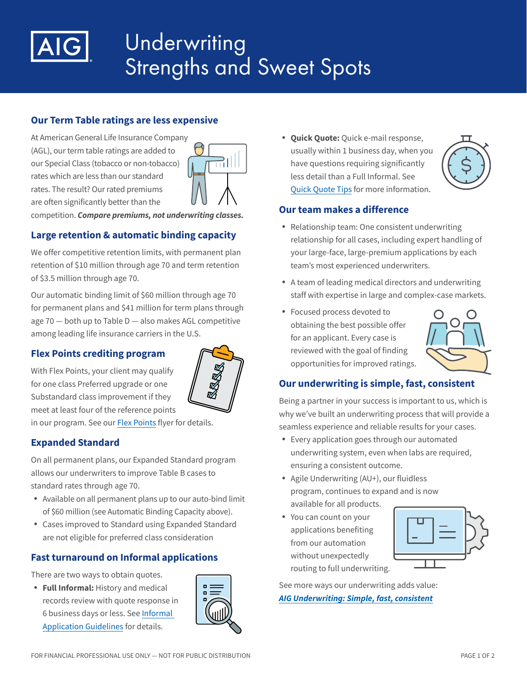

# Underwriting Strengths and Sweet Spots

# **Our Term Table ratings are less expensive**

At American General Life Insurance Company (AGL), our term table ratings are added to our Special Class (tobacco or non-tobacco) rates which are less than our standard rates. The result? Our rated premiums are often significantly better than the



competition. *Compare premiums, not underwriting classes.*

# **Large retention & automatic binding capacity**

We offer competitive retention limits, with permanent plan retention of \$10 million through age 70 and term retention of \$3.5 million through age 70.

Our automatic binding limit of \$60 million through age 70 for permanent plans and \$41 million for term plans through age 70 — both up to Table D — also makes AGL competitive among leading life insurance carriers in the U.S.

# **Flex Points crediting program**



With Flex Points, your client may qualify for one class Preferred upgrade or one Substandard class improvement if they meet at least four of the reference points in our program. See our [Flex Points](https://adminplus.fgsfulfillment.com/View/AIGAG/1/AGLC112504) flyer for details.

# **Expanded Standard**

On all permanent plans, our Expanded Standard program allows our underwriters to improve Table B cases to standard rates through age 70.

- Available on all permanent plans up to our auto-bind limit of \$60 million (see Automatic Binding Capacity above).
- Cases improved to Standard using Expanded Standard are not eligible for preferred class consideration

# **Fast turnaround on Informal applications**

There are two ways to obtain quotes.

• **Full Informal:** History and medical records review with quote response in 6 business days or less. See [Informal](https://adminplus.fgsfulfillment.com/View/AIGAG/1/AGLC105725)  [Application Guidelines](https://adminplus.fgsfulfillment.com/View/AIGAG/1/AGLC105725) for details.



• **Quick Quote:** Quick e-mail response, usually within 1 business day, when you have questions requiring significantly less detail than a Full Informal. See [Quick Quote Tips](https://adminplus.fgsfulfillment.com/View/AIGAG/1/AGLC111281) for more information.



### **Our team makes a difference**

- Relationship team: One consistent underwriting relationship for all cases, including expert handling of your large-face, large-premium applications by each team's most experienced underwriters.
- A team of leading medical directors and underwriting staff with expertise in large and complex-case markets.
- Focused process devoted to obtaining the best possible offer for an applicant. Every case is reviewed with the goal of finding opportunities for improved ratings.



# **Our underwriting is simple, fast, consistent**

Being a partner in your success is important to us, which is why we've built an underwriting process that will provide a seamless experience and reliable results for your cases.

- Every application goes through our automated underwriting system, even when labs are required, ensuring a consistent outcome.
- Agile Underwriting (AU+), our fluidless program, continues to expand and is now available for all products.
- You can count on your applications benefiting from our automation without unexpectedly routing to full underwriting.



See more ways our underwriting adds value: *[AIG Underwriting: Simple, fast, consistent](https://adminplus.fgsfulfillment.com/View/AIGAG/1/AGLC201533)*